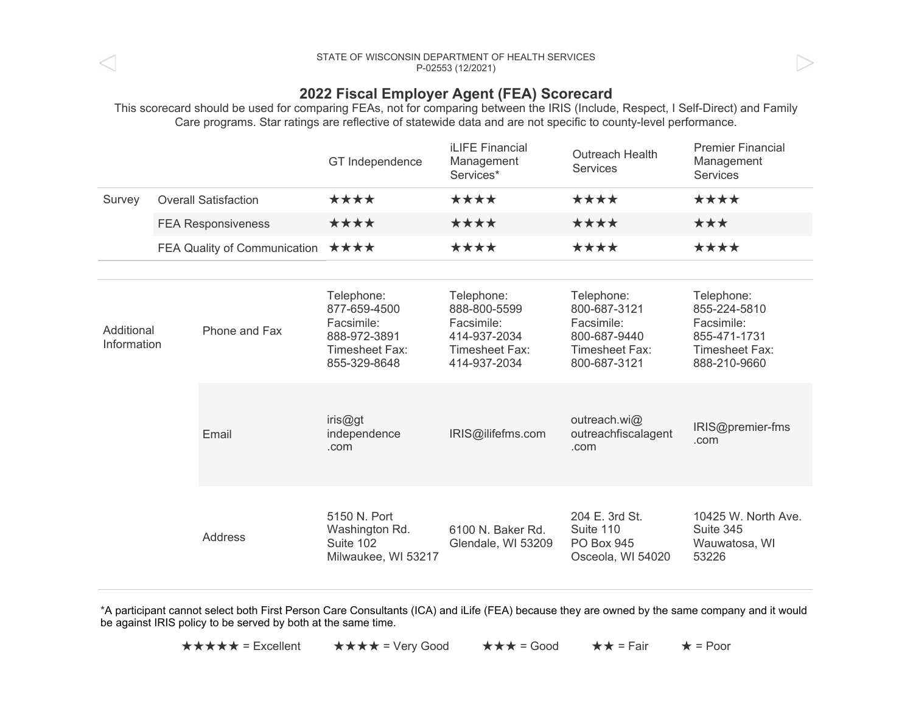## STATE OF WISCONSIN DEPARTMENT OF HEALTH SERVICES P-02553(12/2021)

## 2022 Fiscal Employer Agent (FEA) Scorecard

This scorecard should be used for comparing FEAs, not for comparing between the IRIS (Include, Respect, I Self-Direct) and Family Care programs. Star ratings are reflective of statewide data and are not specific to county-level performance.

|                           |                              |                | GT Independence                                                                            | <b>iLIFE Financial</b><br>Management<br>Services*                                          | <b>Outreach Health</b><br><b>Services</b>                                                  | <b>Premier Financial</b><br>Management<br><b>Services</b>                                  |
|---------------------------|------------------------------|----------------|--------------------------------------------------------------------------------------------|--------------------------------------------------------------------------------------------|--------------------------------------------------------------------------------------------|--------------------------------------------------------------------------------------------|
| Survey                    | <b>Overall Satisfaction</b>  |                | ****                                                                                       | ****                                                                                       | ****                                                                                       | ****                                                                                       |
|                           | <b>FEA Responsiveness</b>    |                | ****                                                                                       | ****                                                                                       | ****                                                                                       | ***                                                                                        |
|                           | FEA Quality of Communication |                | ****                                                                                       | ****                                                                                       | ****                                                                                       | ****                                                                                       |
| Additional<br>Information |                              | Phone and Fax  | Telephone:<br>877-659-4500<br>Facsimile:<br>888-972-3891<br>Timesheet Fax:<br>855-329-8648 | Telephone:<br>888-800-5599<br>Facsimile:<br>414-937-2034<br>Timesheet Fax:<br>414-937-2034 | Telephone:<br>800-687-3121<br>Facsimile:<br>800-687-9440<br>Timesheet Fax:<br>800-687-3121 | Telephone:<br>855-224-5810<br>Facsimile:<br>855-471-1731<br>Timesheet Fax:<br>888-210-9660 |
|                           |                              | Email          | iris@gt<br>independence<br>.com                                                            | IRIS@ilifefms.com                                                                          | outreach.wi@<br>outreachfiscalagent<br>.com                                                | IRIS@premier-fms<br>.com                                                                   |
|                           |                              | <b>Address</b> | 5150 N. Port<br>Washington Rd.<br>Suite 102<br>Milwaukee, WI 53217                         | 6100 N. Baker Rd.<br>Glendale, WI 53209                                                    | 204 E. 3rd St.<br>Suite 110<br>PO Box 945<br>Osceola, WI 54020                             | 10425 W. North Ave.<br>Suite 345<br>Wauwatosa, WI<br>53226                                 |

\*A participant cannot select both First Person Care Consultants (ICA) and iLife (FEA) because they are owned by the same company and it would be against IRIS policy to be served by both at the same time.

★★★★★ =Excellent ★★★★ =VeryGood ★★★ =Good ★★ =Fair ★ =Poor